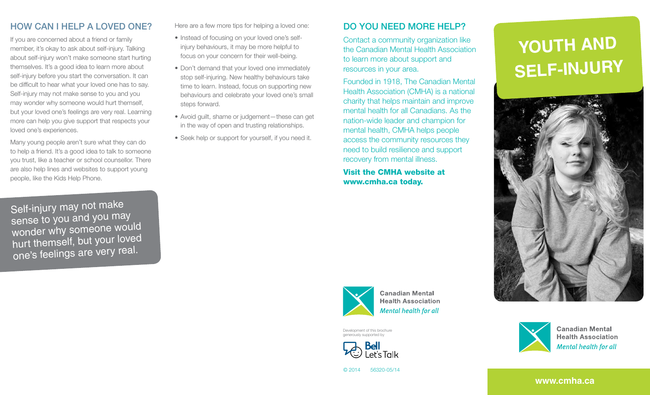#### How can I help a loved one?

If you are concerned about a friend or family member, it's okay to ask about self-injury. Talking about self-injury won't make someone start hurting themselves. It's a good idea to learn more about self-injury before you start the conversation. It can be difficult to hear what your loved one has to say. Self-injury may not make sense to you and you may wonder why someone would hurt themself, but your loved one's feelings are very real. Learning more can help you give support that respects your loved one's experiences.

Many young people aren't sure what they can do to help a friend. It's a good idea to talk to someone you trust, like a teacher or school counsellor. There are also help lines and websites to support young people, like the Kids Help Phone.

Self-injury may not make sense to you and you may wonder why someone would hurt themself, but your loved one's feelings are very real.

Here are a few more tips for helping a loved one:

- Instead of focusing on your loved one's selfinjury behaviours, it may be more helpful to focus on your concern for their well-being.
- Don't demand that your loved one immediately stop self-injuring. New healthy behaviours take time to learn. Instead, focus on supporting new behaviours and celebrate your loved one's small steps forward.
- • Avoid guilt, shame or judgement—these can get in the way of open and trusting relationships.
- Seek help or support for yourself, if you need it.

# Do you need more help?

Contact a community organization like the Canadian Mental Health Association to learn more about support and resources in your area.

Founded in 1918, The Canadian Mental Health Association (CMHA) is a national charity that helps maintain and improve mental health for all Canadians. As the nation-wide leader and champion for mental health, CMHA helps people access the community resources they need to build resilience and support recovery from mental illness.

Visit the CMHA website at www.cmha.ca today.



Development of this brochure generously supported by



# **Youth and Self-Injury**





**Canadian Mental Health Association** Mental health for all

```
© 2014 56320-05/14
```